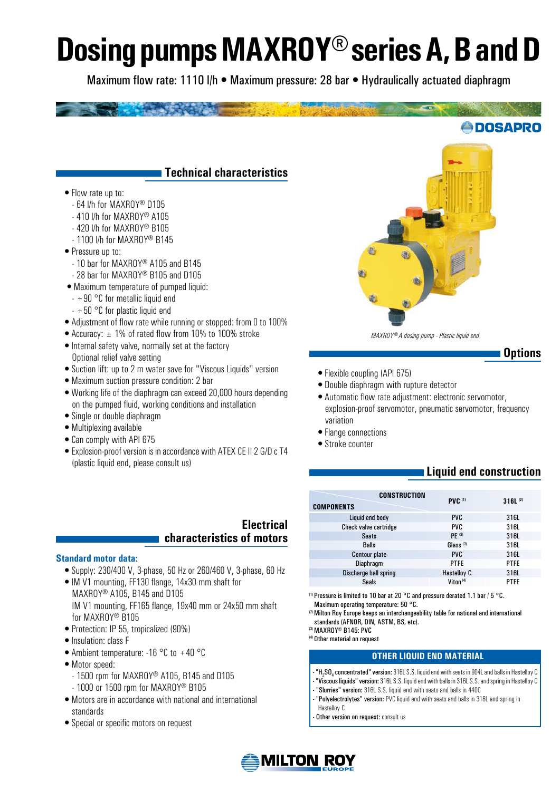# **Dosing pumps MAXROY® series A, B and D**

Maximum flow rate: 1110 l/h • Maximum pressure: 28 bar • Hydraulically actuated diaphragm

#### **Technical characteristics**

- •Flow rate up to:
	- 64 l/h for MAXROY® D105
	- 410 l/h for MAXROY® A105
	- 420 l/h for MAXROY® B105
	- 1100 l/h for MAXROY® B145
- Pressure up to:
	- 10 bar for MAXROY® A105 and B145
	- 28 bar for MAXROY® B105 and D105
- •Maximum temperature of pumped liquid:
- $+90$  °C for metallic liquid end
- $+50$  °C for plastic liquid end
- •Adjustment of flow rate while running or stopped: from 0 to 100%
- •Accuracy: ± 1% of rated flow from 10% to 100% stroke
- •Internal safety valve, normally set at the factory Optional relief valve setting
- •Suction lift: up to 2 m water save for "Viscous Liquids" version
- •Maximum suction pressure condition: 2 bar
- •Working life of the diaphragm can exceed 20,000 hours depending on the pumped fluid, working conditions and installation
- •Single or double diaphragm
- •Multiplexing available
- •Can comply with API 675
- •Explosion-proof version is in accordance with ATEX CE II 2 G/D c T4 (plastic liquid end, please consult us)

#### **Electrical characteristics of motors**

#### **Standard motor data:**

- •Supply: 230/400 V, 3-phase, 50 Hz or 260/460 V, 3-phase, 60 Hz
- •IM V1 mounting, FF130 flange, 14x30 mm shaft for MAXROY® A105, B145 and D105 IM V1 mounting, FF165 flange, 19x40 mm or 24x50 mm shaft for MAXROY® B105
- •Protection: IP 55, tropicalized (90%)
- Insulation: class F
- Ambient temperature: -16 °C to +40 °C
- Motor speed:
	- 1500 rpm for MAXROY® A105, B145 and D105
	- 1000 or 1500 rpm for MAXROY® B105
- •Motors are in accordance with national and international standards
- Special or specific motors on request



*MAXROY® A dosing pump - Plastic liquid end*

#### **Options**

**EDOSAPRO** 

- •Flexible coupling (API 675)
- •Double diaphragm with rupture detector
- •Automatic flow rate adjustment: electronic servomotor, explosion-proof servomotor, pneumatic servomotor, frequency variation
- Flange connections
- •Stroke counter

### **Liquid end construction**

| CONSTRUCTION<br><b>COMPONENTS</b> | <b>PVC (1)</b>       | $316L^{(2)}$ |
|-----------------------------------|----------------------|--------------|
| Liquid end body                   | <b>PVC</b>           | 316L         |
| Check valve cartridge             | <b>PVC</b>           | 316L         |
| <b>Seats</b>                      | PF(3)                | 316L         |
| <b>Balls</b>                      | Glass $(3)$          | 316L         |
| <b>Contour plate</b>              | <b>PVC</b>           | 316L         |
| <b>Diaphragm</b>                  | <b>PTFE</b>          | <b>PTFE</b>  |
| Discharge ball spring             | <b>Hastelloy C</b>   | 316L         |
| <b>Seals</b>                      | Viton <sup>(4)</sup> | <b>PTFE</b>  |

(1) Pressure is limited to 10 bar at 20 °C and pressure derated 1.1 bar / 5 °C. Maximum operating temperature: 50 °C.

 $^{(2)}$  Milton Roy Europe keeps an interchangeability table for national and international standards (AFNOR, DIN, ASTM, BS, etc).

(3) MAXROY® B145: PVC

(4) Other material on request

#### **Other liquid end material**

- $\cdot$  "**H** $_{2}$ **SO** $_{4}$  **concentrated" version:** 316L S.S. liquid end with seats in 904L and balls in Hastelloy C
- "Viscous liquids" version: 316L S.S. liquid end with balls in 316L S.S. and spring in Hastelloy C
- "Slurries" version: 316L S.S. liquid end with seats and balls in 440C
- "Polyelectrolytes" version: PVC liquid end with seats and balls in 316L and spring in Hastelloy C
- Other version on request: consult us

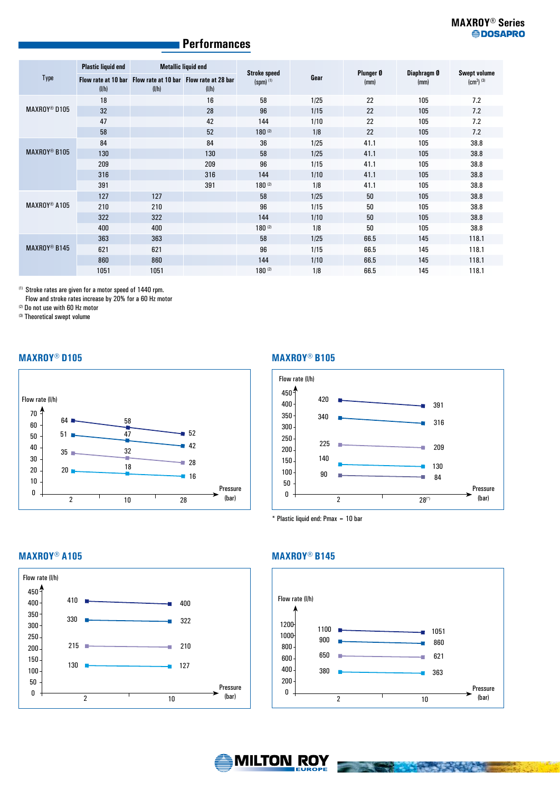#### **Performances**

| Type                           | <b>Plastic liquid end</b> | <b>Metallic liquid end</b>                                           |       |                                    |      | Plunger Ø |                     |                                         |
|--------------------------------|---------------------------|----------------------------------------------------------------------|-------|------------------------------------|------|-----------|---------------------|-----------------------------------------|
|                                | (I/h)                     | Flow rate at 10 bar Flow rate at 10 bar Flow rate at 28 bar<br>(I/h) | (I/h) | <b>Stroke speed</b><br>$(spm)$ (1) | Gear | (mm)      | Diaphragm Ø<br>(mm) | <b>Swept volume</b><br>$\rm (cm^3)$ (3) |
| MAXROY <sup>®</sup> D105       | 18                        |                                                                      | 16    | 58                                 | 1/25 | 22        | 105                 | 7.2                                     |
|                                | 32                        |                                                                      | 28    | 96                                 | 1/15 | 22        | 105                 | 7.2                                     |
|                                | 47                        |                                                                      | 42    | 144                                | 1/10 | 22        | 105                 | 7.2                                     |
|                                | 58                        |                                                                      | 52    | $180^{(2)}$                        | 1/8  | 22        | 105                 | 7.2                                     |
| <b>MAXROY<sup>®</sup> B105</b> | 84                        |                                                                      | 84    | 36                                 | 1/25 | 41.1      | 105                 | 38.8                                    |
|                                | 130                       |                                                                      | 130   | 58                                 | 1/25 | 41.1      | 105                 | 38.8                                    |
|                                | 209                       |                                                                      | 209   | 96                                 | 1/15 | 41.1      | 105                 | 38.8                                    |
|                                | 316                       |                                                                      | 316   | 144                                | 1/10 | 41.1      | 105                 | 38.8                                    |
|                                | 391                       |                                                                      | 391   | $180^{(2)}$                        | 1/8  | 41.1      | 105                 | 38.8                                    |
| MAXROY <sup>®</sup> A105       | 127                       | 127                                                                  |       | 58                                 | 1/25 | 50        | 105                 | 38.8                                    |
|                                | 210                       | 210                                                                  |       | 96                                 | 1/15 | 50        | 105                 | 38.8                                    |
|                                | 322                       | 322                                                                  |       | 144                                | 1/10 | 50        | 105                 | 38.8                                    |
|                                | 400                       | 400                                                                  |       | $180^{(2)}$                        | 1/8  | 50        | 105                 | 38.8                                    |
| MAXROY <sup>®</sup> B145       | 363                       | 363                                                                  |       | 58                                 | 1/25 | 66.5      | 145                 | 118.1                                   |
|                                | 621                       | 621                                                                  |       | 96                                 | 1/15 | 66.5      | 145                 | 118.1                                   |
|                                | 860                       | 860                                                                  |       | 144                                | 1/10 | 66.5      | 145                 | 118.1                                   |
|                                | 1051                      | 1051                                                                 |       | $180^{(2)}$                        | 1/8  | 66.5      | 145                 | 118.1                                   |

(1) Stroke rates are given for a motor speed of 1440 rpm.

Flow and stroke rates increase by 20% for a 60 Hz motor

(2) Do not use with 60 Hz motor

(3) Theoretical swept volume

#### **MAXROY® D105**



#### **MAXROY® B105**



\* Plastic liquid end: Pmax = 10 bar

#### **MAXROY® A105**



#### **MAXROY® B145**



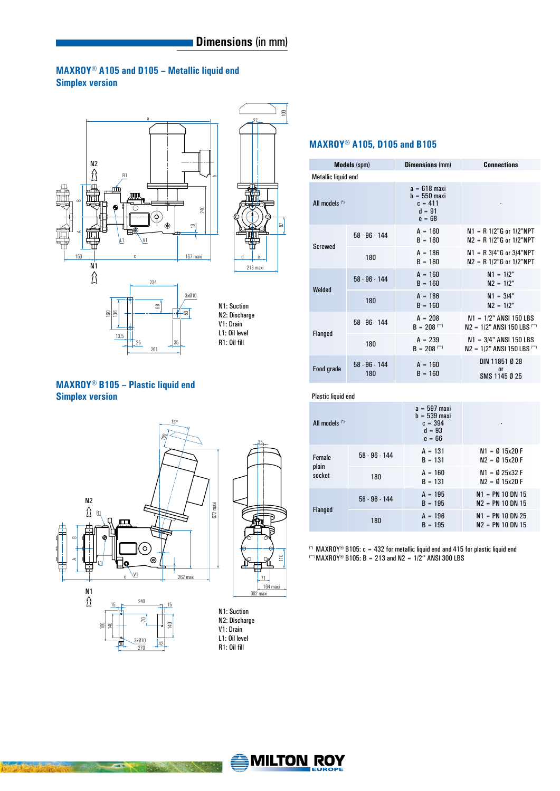#### **MAXROY® A105 and D105 – Metallic liquid end Simplex version**





N1: Suction N2: Discharge V1: Drain L1: Oil level R1: Oil fill

#### **MAXROY® B105 – Plastic liquid end Simplex version**

**ISSUED** 

13.5

261

35



#### **MAXROY® A105, D105 and B105**

| <b>Models</b> (spm)       |                        | <b>Dimensions (mm)</b>                                                | <b>Connections</b>                                          |  |  |
|---------------------------|------------------------|-----------------------------------------------------------------------|-------------------------------------------------------------|--|--|
| Metallic liquid end       |                        |                                                                       |                                                             |  |  |
| All models <sup>(*)</sup> |                        | $a = 618$ maxi<br>$h = 550$ maxi<br>$c = 411$<br>$d = 91$<br>$e = 68$ |                                                             |  |  |
|                           | $58 - 96 - 144$        | $A = 160$<br>$B = 160$                                                | $N1 = R 1/2$ "G or 1/2"NPT<br>$N2 = R 1/2$ "G or 1/2"NPT    |  |  |
| <b>Screwed</b>            | 180                    | $A = 186$<br>$B = 160$                                                | $N1 = R 3/4$ "G or $3/4$ "NPT<br>$N2 = R 1/2$ "G or 1/2"NPT |  |  |
| Welded                    | $58 - 96 - 144$        | $A = 160$<br>$B = 160$                                                | $N1 = 1/2"$<br>$N2 = 1/2"$                                  |  |  |
|                           | 180                    | $A = 186$<br>$B = 160$                                                | $N1 = 3/4"$<br>$N2 = 1/2"$                                  |  |  |
| Flanged                   | $58 - 96 - 144$        | $A = 208$<br>$B = 208$ (**)                                           | $N1 = 1/2$ " ANSI 150 LBS<br>$N2 = 1/2$ " ANSI 150 LBS (**) |  |  |
|                           | 180                    | $A = 239$<br>$B = 208$ <sup>(**)</sup>                                | $N1 = 3/4"$ ANSI 150 LBS<br>$N2 = 1/2$ " ANSI 150 LBS (**)  |  |  |
| Food grade                | $58 - 96 - 144$<br>180 | $A = 160$<br>$B = 160$                                                | DIN 11851 Ø 28<br>0 <sup>r</sup><br>SMS 1145 Ø 25           |  |  |

#### Plastic liquid end

| All models (*)            |           | $a = 597$ maxi<br>$h = 539$ maxi<br>$c = 394$<br>$d = 93$<br>$e = 66$ |                                          |
|---------------------------|-----------|-----------------------------------------------------------------------|------------------------------------------|
| Female<br>plain<br>socket | 58.96.144 | $A = 131$<br>$B = 131$                                                | $N1 = 015x20F$<br>$N2 = 0$ 15x20 F       |
|                           | 180       | $A = 160$<br>$B = 131$                                                | $N1 = 0.25x32 F$<br>$N2 = 0$ 15x20 F     |
| <b>Flanged</b>            | 58.96.144 | $A = 195$<br>$B = 195$                                                | $N1 = PN 10 DN 15$<br>$N2 = PN 10 DN 15$ |
|                           | 180       | $A = 196$<br>$B = 195$                                                | $N1 = PN 10 DN 25$<br>$N2 = PN 10 DN 15$ |

(\*) MAXROY® B105:  $c = 432$  for metallic liquid end and 415 for plastic liquid end (\*\*)MAXROY® B105: B = 213 and N2 = 1/2'' ANSI 300 LBS